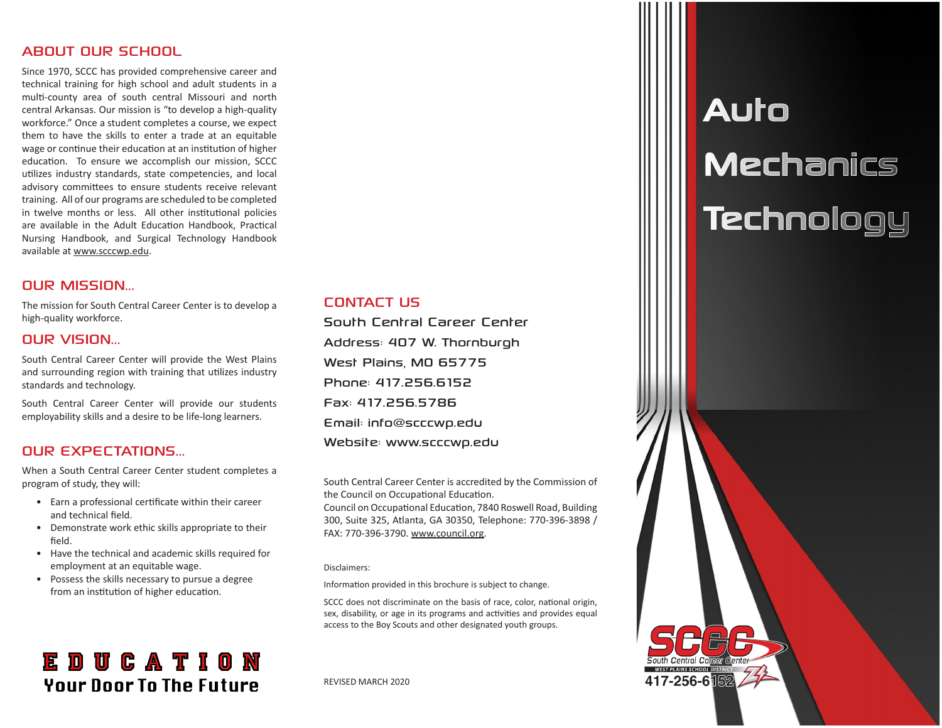#### ABOUT OUR SCHOOL

Since 1970, SCCC has provided comprehensive career and technical training for high school and adult students in a multi-county area of south central Missouri and north central Arkansas. Our mission is "to develop a high-quality workforce." Once a student completes a course, we expect them to have the skills to enter a trade at an equitable wage or continue their education at an institution of higher education. To ensure we accomplish our mission, SCCC utilizes industry standards, state competencies, and local advisory committees to ensure students receive relevant training. All of our programs are scheduled to be completed in twelve months or less. All other institutional policies are available in the Adult Education Handbook, Practical Nursing Handbook, and Surgical Technology Handbook available at www.scccwp.edu.

#### OUR MISSION...

The mission for South Central Career Center is to develop a high-quality workforce.

#### OUR VISION...

South Central Career Center will provide the West Plains and surrounding region with training that utilizes industry standards and technology.

South Central Career Center will provide our students employability skills and a desire to be life-long learners.

### OUR EXPECTATIONS...

When a South Central Career Center student completes a program of study, they will:

- Earn a professional certificate within their career and technical field.
- Demonstrate work ethic skills appropriate to their field.
- Have the technical and academic skills required for employment at an equitable wage.
- Possess the skills necessary to pursue a degree from an institution of higher education.

### **EDUCATION Your Door To The Future**

#### CONTACT US

South Central Career Center Address: 407 W. Thornburgh West Plains, MO 65775 Phone: 417.256.6152 Fax: 417.256.5786 Email: info@scccwp.edu Website: www.scccwp.edu

South Central Career Center is accredited by the Commission of the Council on Occupational Education.

Council on Occupational Education, 7840 Roswell Road, Building 300, Suite 325, Atlanta, GA 30350, Telephone: 770-396-3898 / FAX: 770-396-3790. www.council.org.

#### Disclaimers:

Information provided in this brochure is subject to change.

SCCC does not discriminate on the basis of race, color, national origin, sex, disability, or age in its programs and activities and provides equal access to the Boy Scouts and other designated youth groups.

REVISED MARCH 2020

# Auto **Mechanics Technology**

417-256-6隔2